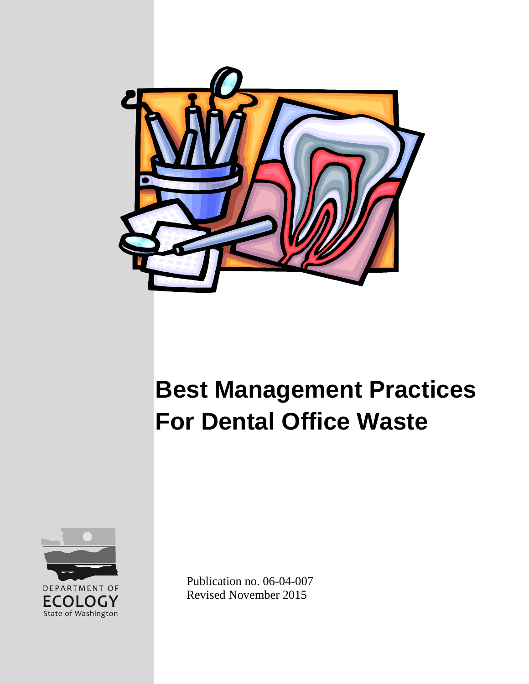

# **Best Management Practices For Dental Office Waste**



Publication no. 06-04-007 Revised November 2015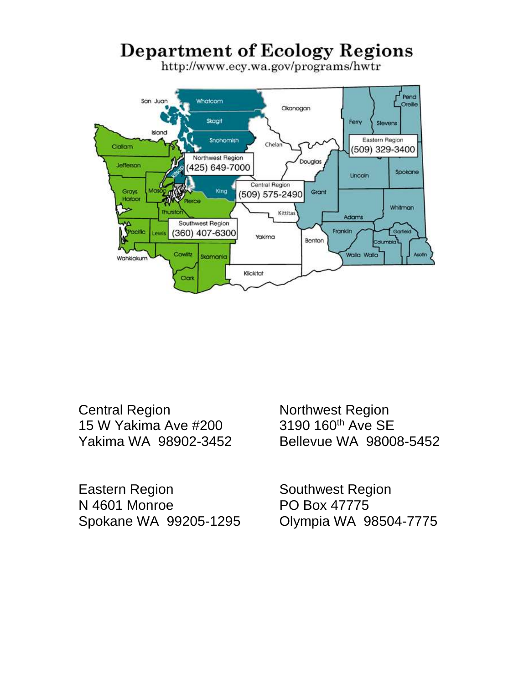## **Department of Ecology Regions**

http://www.ecy.wa.gov/programs/hwtr



Central Region 15 W Yakima Ave #200 Yakima WA 98902-3452

Eastern Region N 4601 Monroe Spokane WA 99205-1295 Northwest Region 3190 160<sup>th</sup> Ave SE Bellevue WA 98008-5452

Southwest Region PO Box 47775 Olympia WA 98504-7775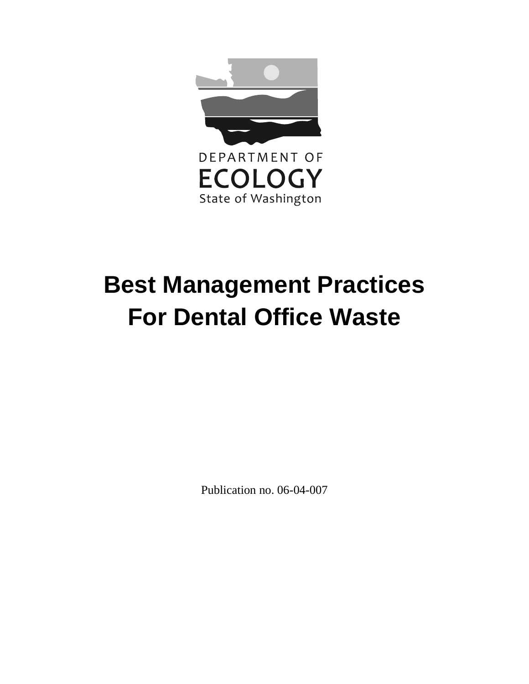

# **Best Management Practices For Dental Office Waste**

Publication no. 06-04-007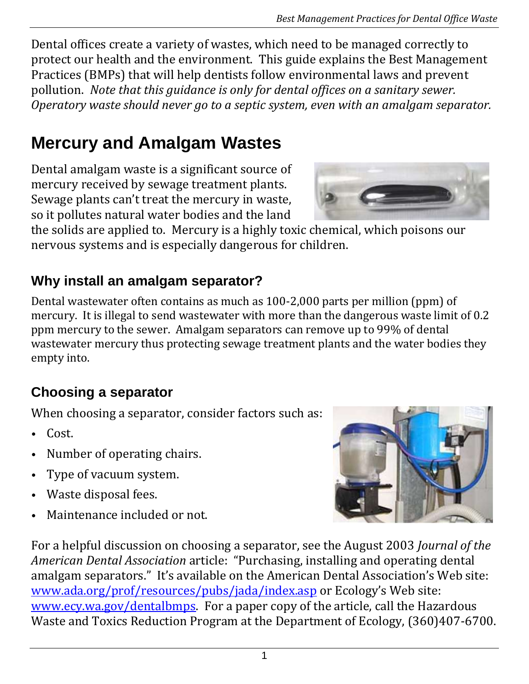Dental offices create a variety of wastes, which need to be managed correctly to protect our health and the environment. This guide explains the Best Management Practices (BMPs) that will help dentists follow environmental laws and prevent pollution. *Note that this guidance is only for dental offices on a sanitary sewer. Operatory waste should never go to a septic system, even with an amalgam separator.*

## **Mercury and Amalgam Wastes**

Dental amalgam waste is a significant source of mercury received by sewage treatment plants. Sewage plants can't treat the mercury in waste, so it pollutes natural water bodies and the land

the solids are applied to. Mercury is a highly toxic chemical, which poisons our nervous systems and is especially dangerous for children.

## **Why install an amalgam separator?**

Dental wastewater often contains as much as 100-2,000 parts per million (ppm) of mercury. It is illegal to send wastewater with more than the dangerous waste limit of 0.2 ppm mercury to the sewer. Amalgam separators can remove up to 99% of dental wastewater mercury thus protecting sewage treatment plants and the water bodies they empty into.

## **Choosing a separator**

When choosing a separator, consider factors such as:

- Cost.
- Number of operating chairs.
- Type of vacuum system.
- Waste disposal fees.
- Maintenance included or not.





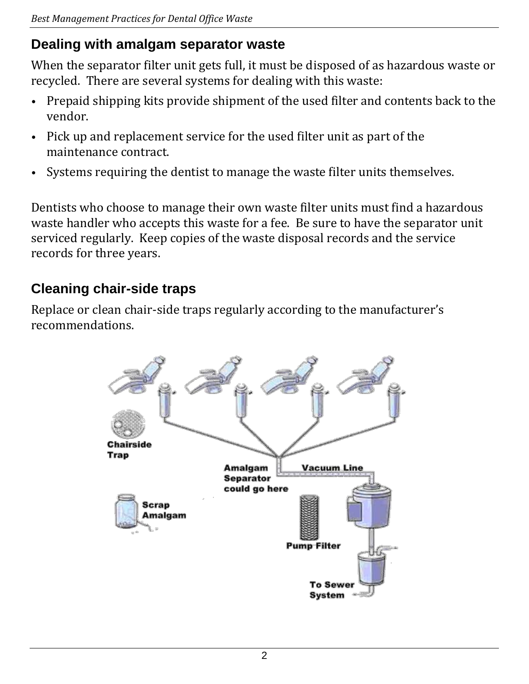#### **Dealing with amalgam separator waste**

When the separator filter unit gets full, it must be disposed of as hazardous waste or recycled. There are several systems for dealing with this waste:

- Prepaid shipping kits provide shipment of the used filter and contents back to the vendor.
- Pick up and replacement service for the used filter unit as part of the maintenance contract.
- Systems requiring the dentist to manage the waste filter units themselves.

Dentists who choose to manage their own waste filter units must find a hazardous waste handler who accepts this waste for a fee. Be sure to have the separator unit serviced regularly. Keep copies of the waste disposal records and the service records for three years.

## **Cleaning chair-side traps**

Replace or clean chair-side traps regularly according to the manufacturer's recommendations.

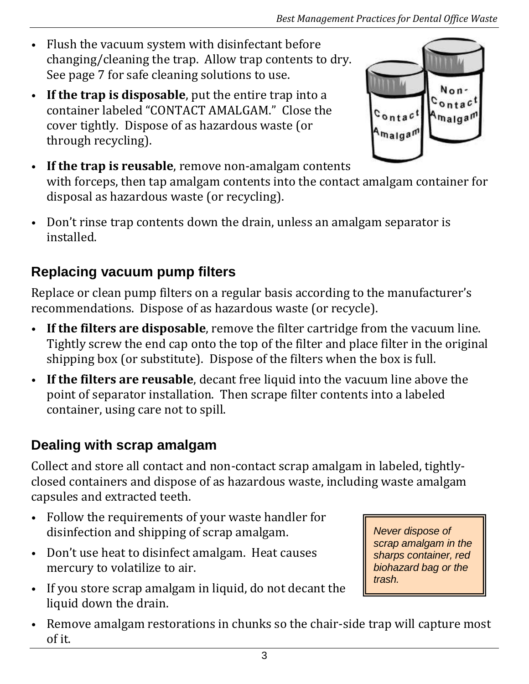- Flush the vacuum system with disinfectant before changing/cleaning the trap. Allow trap contents to dry. See page 7 for safe cleaning solutions to use.
- **If the trap is disposable**, put the entire trap into a container labeled "CONTACT AMALGAM." Close the cover tightly. Dispose of as hazardous waste (or through recycling).



- **If the trap is reusable**, remove non-amalgam contents with forceps, then tap amalgam contents into the contact amalgam container for disposal as hazardous waste (or recycling).
- Don't rinse trap contents down the drain, unless an amalgam separator is installed.

## **Replacing vacuum pump filters**

Replace or clean pump filters on a regular basis according to the manufacturer's recommendations. Dispose of as hazardous waste (or recycle).

- **If the filters are disposable**, remove the filter cartridge from the vacuum line. Tightly screw the end cap onto the top of the filter and place filter in the original shipping box (or substitute). Dispose of the filters when the box is full.
- **If the filters are reusable**, decant free liquid into the vacuum line above the point of separator installation. Then scrape filter contents into a labeled container, using care not to spill.

## **Dealing with scrap amalgam**

Collect and store all contact and non-contact scrap amalgam in labeled, tightlyclosed containers and dispose of as hazardous waste, including waste amalgam capsules and extracted teeth.

- Follow the requirements of your waste handler for disinfection and shipping of scrap amalgam.
- Don't use heat to disinfect amalgam. Heat causes mercury to volatilize to air.
- If you store scrap amalgam in liquid, do not decant the liquid down the drain.

*Never dispose of scrap amalgam in the sharps container, red biohazard bag or the trash.*

• Remove amalgam restorations in chunks so the chair-side trap will capture most of it.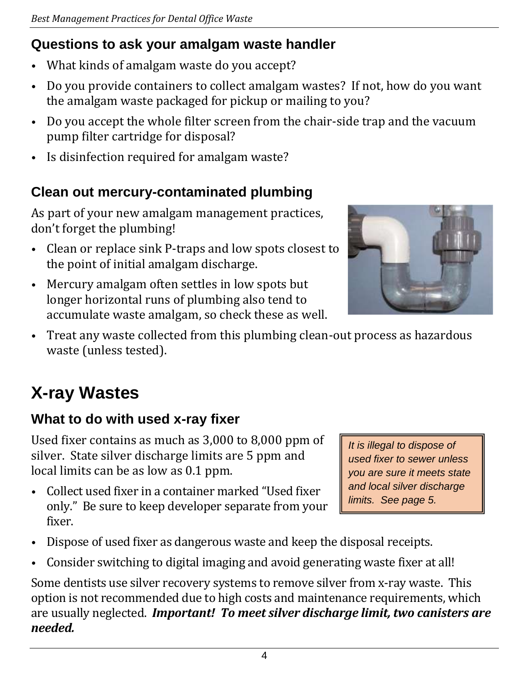## **Questions to ask your amalgam waste handler**

- What kinds of amalgam waste do you accept?
- Do you provide containers to collect amalgam wastes? If not, how do you want the amalgam waste packaged for pickup or mailing to you?
- Do you accept the whole filter screen from the chair-side trap and the vacuum pump filter cartridge for disposal?
- Is disinfection required for amalgam waste?

## **Clean out mercury-contaminated plumbing**

As part of your new amalgam management practices, don't forget the plumbing!

- Clean or replace sink P-traps and low spots closest to the point of initial amalgam discharge.
- Mercury amalgam often settles in low spots but longer horizontal runs of plumbing also tend to accumulate waste amalgam, so check these as well.



• Treat any waste collected from this plumbing clean-out process as hazardous waste (unless tested).

## **X-ray Wastes**

## **What to do with used x-ray fixer**

Used fixer contains as much as 3,000 to 8,000 ppm of silver. State silver discharge limits are 5 ppm and local limits can be as low as 0.1 ppm.

• Collect used fixer in a container marked "Used fixer only." Be sure to keep developer separate from your fixer.

*It is illegal to dispose of used fixer to sewer unless you are sure it meets state and local silver discharge limits. See page 5.*

- Dispose of used fixer as dangerous waste and keep the disposal receipts.
- Consider switching to digital imaging and avoid generating waste fixer at all!

Some dentists use silver recovery systems to remove silver from x-ray waste. This option is not recommended due to high costs and maintenance requirements, which are usually neglected. *Important! To meet silver discharge limit, two canisters are needed.*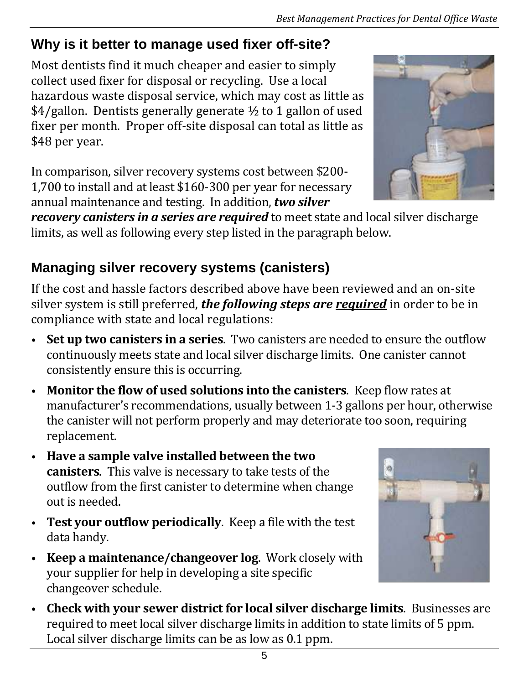## **Why is it better to manage used fixer off-site?**

Most dentists find it much cheaper and easier to simply collect used fixer for disposal or recycling. Use a local hazardous waste disposal service, which may cost as little as \$4/gallon. Dentists generally generate ½ to 1 gallon of used fixer per month. Proper off-site disposal can total as little as \$48 per year.

In comparison, silver recovery systems cost between \$200- 1,700 to install and at least \$160-300 per year for necessary annual maintenance and testing. In addition, *two silver* 

*recovery canisters in a series are required* to meet state and local silver discharge limits, as well as following every step listed in the paragraph below.

## **Managing silver recovery systems (canisters)**

If the cost and hassle factors described above have been reviewed and an on-site silver system is still preferred, *the following steps are required* in order to be in compliance with state and local regulations:

- **Set up two canisters in a series**. Two canisters are needed to ensure the outflow continuously meets state and local silver discharge limits. One canister cannot consistently ensure this is occurring.
- **Monitor the flow of used solutions into the canisters**. Keep flow rates at manufacturer's recommendations, usually between 1-3 gallons per hour, otherwise the canister will not perform properly and may deteriorate too soon, requiring replacement.
- **Have a sample valve installed between the two canisters**. This valve is necessary to take tests of the outflow from the first canister to determine when change out is needed.
- **Test your outflow periodically**. Keep a file with the test data handy.
- **Keep a maintenance/changeover log**. Work closely with your supplier for help in developing a site specific changeover schedule.
- **Check with your sewer district for local silver discharge limits**. Businesses are required to meet local silver discharge limits in addition to state limits of 5 ppm. Local silver discharge limits can be as low as 0.1 ppm.





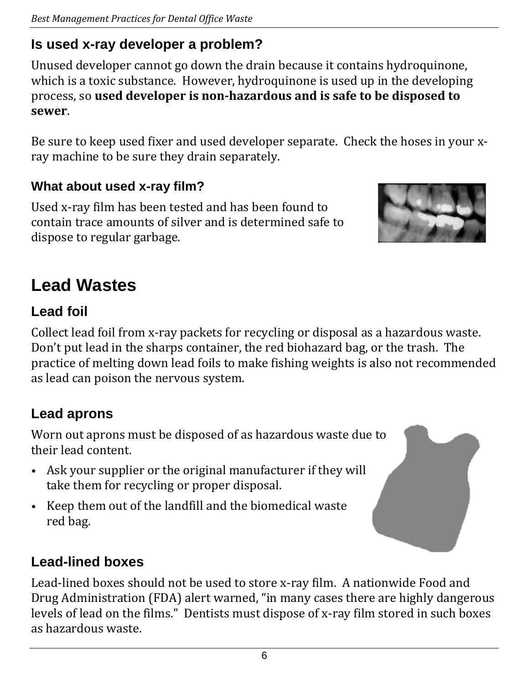## **Is used x-ray developer a problem?**

Unused developer cannot go down the drain because it contains hydroquinone, which is a toxic substance. However, hydroquinone is used up in the developing process, so **used developer is non-hazardous and is safe to be disposed to sewer**.

Be sure to keep used fixer and used developer separate. Check the hoses in your xray machine to be sure they drain separately.

#### **What about used x-ray film?**

Used x-ray film has been tested and has been found to contain trace amounts of silver and is determined safe to dispose to regular garbage.



## **Lead Wastes**

## **Lead foil**

Collect lead foil from x-ray packets for recycling or disposal as a hazardous waste. Don't put lead in the sharps container, the red biohazard bag, or the trash. The practice of melting down lead foils to make fishing weights is also not recommended as lead can poison the nervous system.

## **Lead aprons**

Worn out aprons must be disposed of as hazardous waste due to their lead content.

- Ask your supplier or the original manufacturer if they will take them for recycling or proper disposal.
- Keep them out of the landfill and the biomedical waste red bag.

## **Lead-lined boxes**

Lead-lined boxes should not be used to store x-ray film. A nationwide Food and Drug Administration (FDA) alert warned, "in many cases there are highly dangerous levels of lead on the films." Dentists must dispose of x-ray film stored in such boxes as hazardous waste.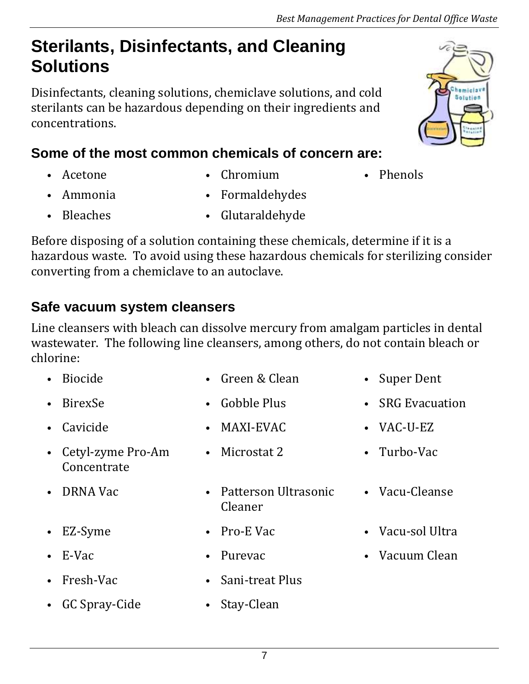## **Sterilants, Disinfectants, and Cleaning Solutions**

Disinfectants, cleaning solutions, chemiclave solutions, and cold sterilants can be hazardous depending on their ingredients and concentrations.

## **Some of the most common chemicals of concern are:**

- 
- Acetone Chromium Phenols
- 

Chemicla Solution

- - Ammonia Formaldehydes
- Bleaches Glutaraldehyde

Before disposing of a solution containing these chemicals, determine if it is a hazardous waste. To avoid using these hazardous chemicals for sterilizing consider converting from a chemiclave to an autoclave.

## **Safe vacuum system cleansers**

Line cleansers with bleach can dissolve mercury from amalgam particles in dental wastewater. The following line cleansers, among others, do not contain bleach or chlorine:

• Biocide • Green & Clean • Super Dent • BirexSe • Gobble Plus • SRG Evacuation • Cavicide MAXI-EVAC VAC-U-EZ • Cetyl-zyme Pro-Am **Concentrate** • Microstat 2 • Turbo-Vac • DRNA Vac • Patterson Ultrasonic Cleaner • Vacu-Cleanse EZ-Syme • Pro-E Vac • Vacu-sol Ultra • E-Vac • Purevac • Vacuum Clean • Fresh-Vac • Sani-treat Plus • GC Spray-Cide • Stay-Clean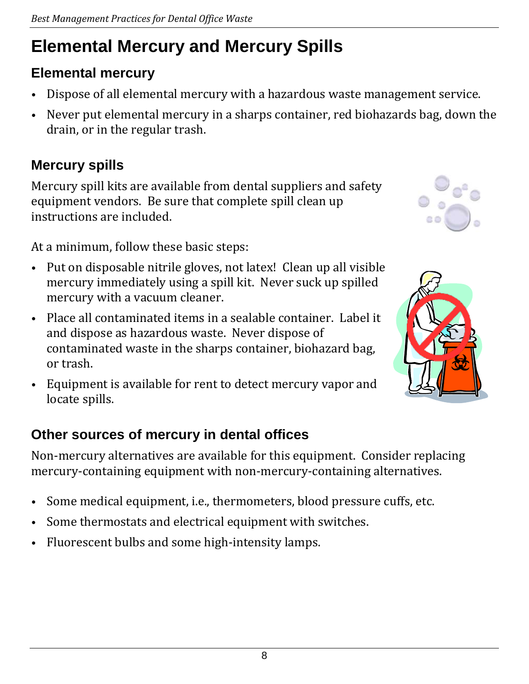## **Elemental Mercury and Mercury Spills**

## **Elemental mercury**

- Dispose of all elemental mercury with a hazardous waste management service.
- Never put elemental mercury in a sharps container, red biohazards bag, down the drain, or in the regular trash.

## **Mercury spills**

Mercury spill kits are available from dental suppliers and safety equipment vendors. Be sure that complete spill clean up instructions are included.

At a minimum, follow these basic steps:

- Put on disposable nitrile gloves, not latex! Clean up all visible mercury immediately using a spill kit. Never suck up spilled mercury with a vacuum cleaner.
- Place all contaminated items in a sealable container. Label it and dispose as hazardous waste. Never dispose of contaminated waste in the sharps container, biohazard bag, or trash.
- Equipment is available for rent to detect mercury vapor and locate spills.

## **Other sources of mercury in dental offices**

Non-mercury alternatives are available for this equipment. Consider replacing mercury-containing equipment with non-mercury-containing alternatives.

- Some medical equipment, i.e., thermometers, blood pressure cuffs, etc.
- Some thermostats and electrical equipment with switches.
- Fluorescent bulbs and some high-intensity lamps.